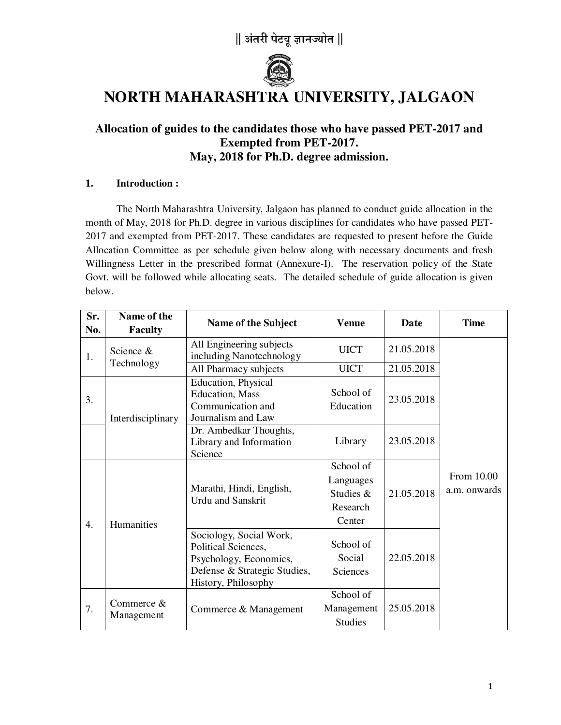

# **NORTH MAHARASHTRA UNIVERSITY, JALGAON**

### **Allocation of guides to the candidates those who have passed PET-2017 and Exempted from PET-2017. May, 2018 for Ph.D. degree admission.**

#### **1. Introduction :**

The North Maharashtra University, Jalgaon has planned to conduct guide allocation in the month of May, 2018 for Ph.D. degree in various disciplines for candidates who have passed PET-2017 and exempted from PET-2017. These candidates are requested to present before the Guide Allocation Committee as per schedule given below along with necessary documents and fresh Willingness Letter in the prescribed format (Annexure-I).The reservation policy of the State Govt. will be followed while allocating seats. The detailed schedule of guide allocation is given below.

| Sr.<br>No.       | Name of the<br><b>Faculty</b> | Name of the Subject                                                                                                             | <b>Venue</b>                                              | <b>Date</b> | <b>Time</b>                |
|------------------|-------------------------------|---------------------------------------------------------------------------------------------------------------------------------|-----------------------------------------------------------|-------------|----------------------------|
| 1.               | Science &<br>Technology       | All Engineering subjects<br>including Nanotechnology                                                                            | <b>UICT</b>                                               | 21.05.2018  |                            |
|                  |                               | All Pharmacy subjects                                                                                                           | <b>UICT</b>                                               | 21.05.2018  |                            |
| 3.               | Interdisciplinary             | Education, Physical<br><b>Education</b> , Mass<br>Communication and<br>Journalism and Law                                       | School of<br>Education                                    | 23.05.2018  |                            |
|                  |                               | Dr. Ambedkar Thoughts,<br>Library and Information<br>Science                                                                    | Library                                                   | 23.05.2018  |                            |
| $\overline{4}$ . | Humanities                    | Marathi, Hindi, English,<br><b>Urdu</b> and Sanskrit                                                                            | School of<br>Languages<br>Studies &<br>Research<br>Center | 21.05.2018  | From 10.00<br>a.m. onwards |
|                  |                               | Sociology, Social Work,<br>Political Sciences,<br>Psychology, Economics,<br>Defense & Strategic Studies,<br>History, Philosophy | School of<br>Social<br>Sciences                           | 22.05.2018  |                            |
| 7.               | Commerce &<br>Management      | Commerce & Management                                                                                                           | School of<br>Management<br><b>Studies</b>                 | 25.05.2018  |                            |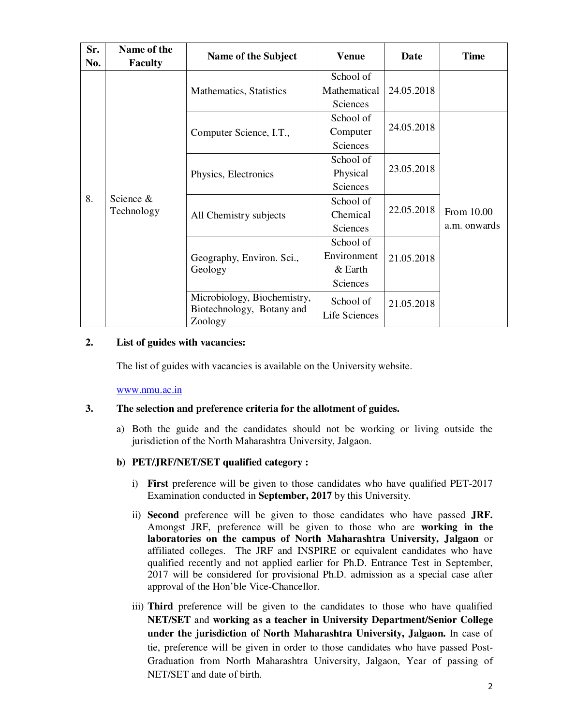| Sr.<br>No. | Name of the<br><b>Faculty</b> | Name of the Subject                                                 | <b>Venue</b>                                      | <b>Date</b> | <b>Time</b>                |
|------------|-------------------------------|---------------------------------------------------------------------|---------------------------------------------------|-------------|----------------------------|
| 8.         | Science $&$<br>Technology     | Mathematics, Statistics                                             | School of<br>Mathematical<br>Sciences             | 24.05.2018  |                            |
|            |                               | Computer Science, I.T.,                                             | School of<br>Computer<br>Sciences                 | 24.05.2018  |                            |
|            |                               | Physics, Electronics                                                | School of<br>Physical<br>Sciences                 | 23.05.2018  |                            |
|            |                               | All Chemistry subjects                                              | School of<br>Chemical<br>Sciences                 | 22.05.2018  | From 10.00<br>a.m. onwards |
|            |                               | Geography, Environ. Sci.,<br>Geology                                | School of<br>Environment<br>$&$ Earth<br>Sciences | 21.05.2018  |                            |
|            |                               | Microbiology, Biochemistry,<br>Biotechnology, Botany and<br>Zoology | School of<br>Life Sciences                        | 21.05.2018  |                            |

#### **2. List of guides with vacancies:**

The list of guides with vacancies is available on the University website.

www.nmu.ac.in

#### **3. The selection and preference criteria for the allotment of guides.**

a) Both the guide and the candidates should not be working or living outside the jurisdiction of the North Maharashtra University, Jalgaon.

#### **b) PET/JRF/NET/SET qualified category :**

- i) **First** preference will be given to those candidates who have qualified PET-2017 Examination conducted in **September, 2017** by this University.
- ii) **Second** preference will be given to those candidates who have passed **JRF.** Amongst JRF, preference will be given to those who are **working in the laboratories on the campus of North Maharashtra University, Jalgaon** or affiliated colleges. The JRF and INSPIRE or equivalent candidates who have qualified recently and not applied earlier for Ph.D. Entrance Test in September, 2017 will be considered for provisional Ph.D. admission as a special case after approval of the Hon'ble Vice-Chancellor.
- iii) **Third** preference will be given to the candidates to those who have qualified **NET/SET** and **working as a teacher in University Department/Senior College under the jurisdiction of North Maharashtra University, Jalgaon.** In case of tie, preference will be given in order to those candidates who have passed Post-Graduation from North Maharashtra University, Jalgaon, Year of passing of NET/SET and date of birth.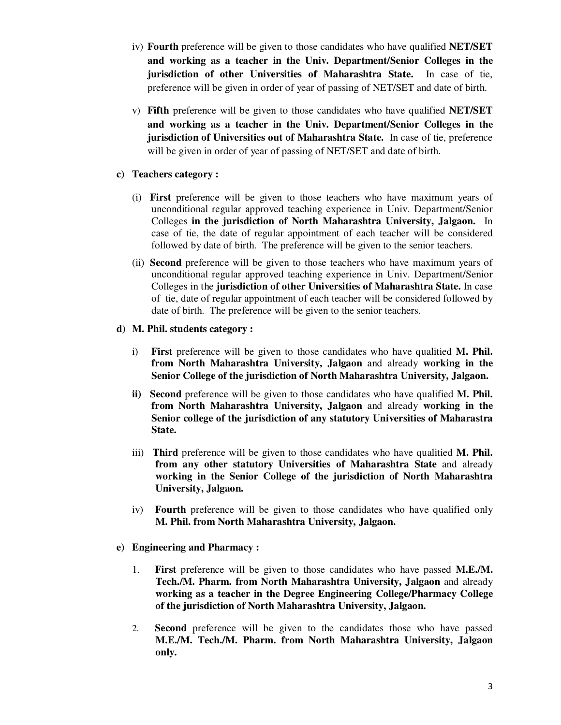- iv) **Fourth** preference will be given to those candidates who have qualified **NET/SET and working as a teacher in the Univ. Department/Senior Colleges in the jurisdiction of other Universities of Maharashtra State.** In case of tie, preference will be given in order of year of passing of NET/SET and date of birth.
- v) **Fifth** preference will be given to those candidates who have qualified **NET/SET and working as a teacher in the Univ. Department/Senior Colleges in the jurisdiction of Universities out of Maharashtra State.** In case of tie, preference will be given in order of year of passing of NET/SET and date of birth.

#### **c) Teachers category :**

- (i) **First** preference will be given to those teachers who have maximum years of unconditional regular approved teaching experience in Univ. Department/Senior Colleges **in the jurisdiction of North Maharashtra University, Jalgaon.** In case of tie, the date of regular appointment of each teacher will be considered followed by date of birth. The preference will be given to the senior teachers.
- (ii) **Second** preference will be given to those teachers who have maximum years of unconditional regular approved teaching experience in Univ. Department/Senior Colleges in the **jurisdiction of other Universities of Maharashtra State.** In case of tie, date of regular appointment of each teacher will be considered followed by date of birth. The preference will be given to the senior teachers.

#### **d) M. Phil. students category :**

- i) **First** preference will be given to those candidates who have qualitied **M. Phil. from North Maharashtra University, Jalgaon** and already **working in the Senior College of the jurisdiction of North Maharashtra University, Jalgaon.**
- **ii) Second** preference will be given to those candidates who have qualified **M. Phil. from North Maharashtra University, Jalgaon** and already **working in the Senior college of the jurisdiction of any statutory Universities of Maharastra State.**
- iii) **Third** preference will be given to those candidates who have qualitied **M. Phil. from any other statutory Universities of Maharashtra State** and already **working in the Senior College of the jurisdiction of North Maharashtra University, Jalgaon.**
- iv) **Fourth** preference will be given to those candidates who have qualified only **M. Phil. from North Maharashtra University, Jalgaon.**
- **e) Engineering and Pharmacy :** 
	- 1. **First** preference will be given to those candidates who have passed **M.E./M. Tech./M. Pharm. from North Maharashtra University, Jalgaon** and already **working as a teacher in the Degree Engineering College/Pharmacy College of the jurisdiction of North Maharashtra University, Jalgaon.**
	- 2. **Second** preference will be given to the candidates those who have passed **M.E./M. Tech./M. Pharm. from North Maharashtra University, Jalgaon only.**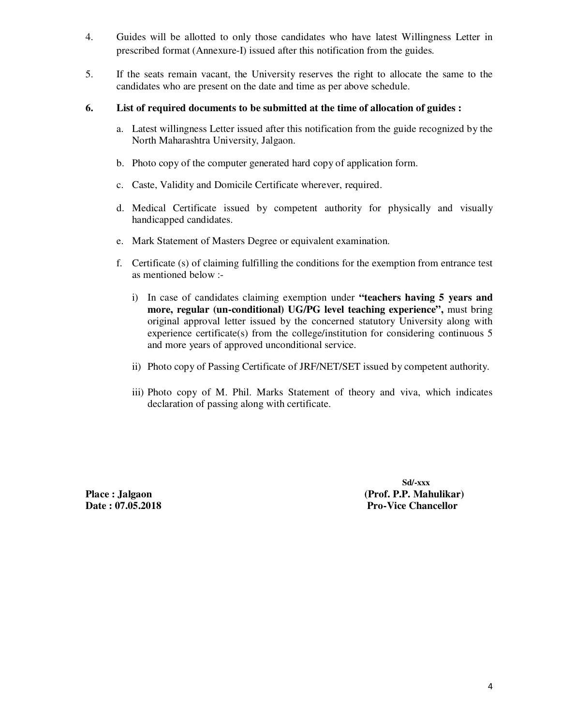- 4. Guides will be allotted to only those candidates who have latest Willingness Letter in prescribed format (Annexure-I) issued after this notification from the guides.
- 5. If the seats remain vacant, the University reserves the right to allocate the same to the candidates who are present on the date and time as per above schedule.

#### **6. List of required documents to be submitted at the time of allocation of guides :**

- a. Latest willingness Letter issued after this notification from the guide recognized by the North Maharashtra University, Jalgaon.
- b. Photo copy of the computer generated hard copy of application form.
- c. Caste, Validity and Domicile Certificate wherever, required.
- d. Medical Certificate issued by competent authority for physically and visually handicapped candidates.
- e. Mark Statement of Masters Degree or equivalent examination.
- f. Certificate (s) of claiming fulfilling the conditions for the exemption from entrance test as mentioned below :
	- i) In case of candidates claiming exemption under **"teachers having 5 years and more, regular (un-conditional) UG/PG level teaching experience",** must bring original approval letter issued by the concerned statutory University along with experience certificate(s) from the college/institution for considering continuous 5 and more years of approved unconditional service.
	- ii) Photo copy of Passing Certificate of JRF/NET/SET issued by competent authority.
	- iii) Photo copy of M. Phil. Marks Statement of theory and viva, which indicates declaration of passing along with certificate.

 **Sd/-xxx**  Place : Jalgaon **(Prof. P.P. Mahulikar) Date : 07.05.2018 Pro-Vice Chancellor Pro-Vice Chancellor**